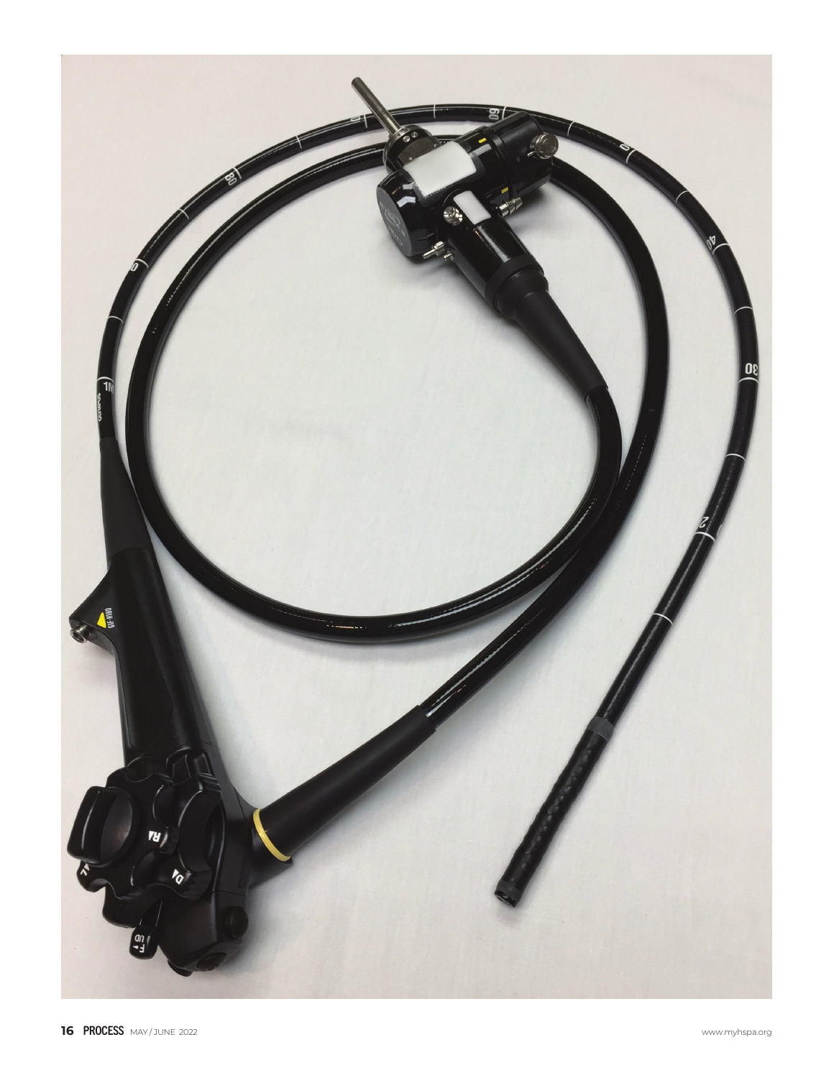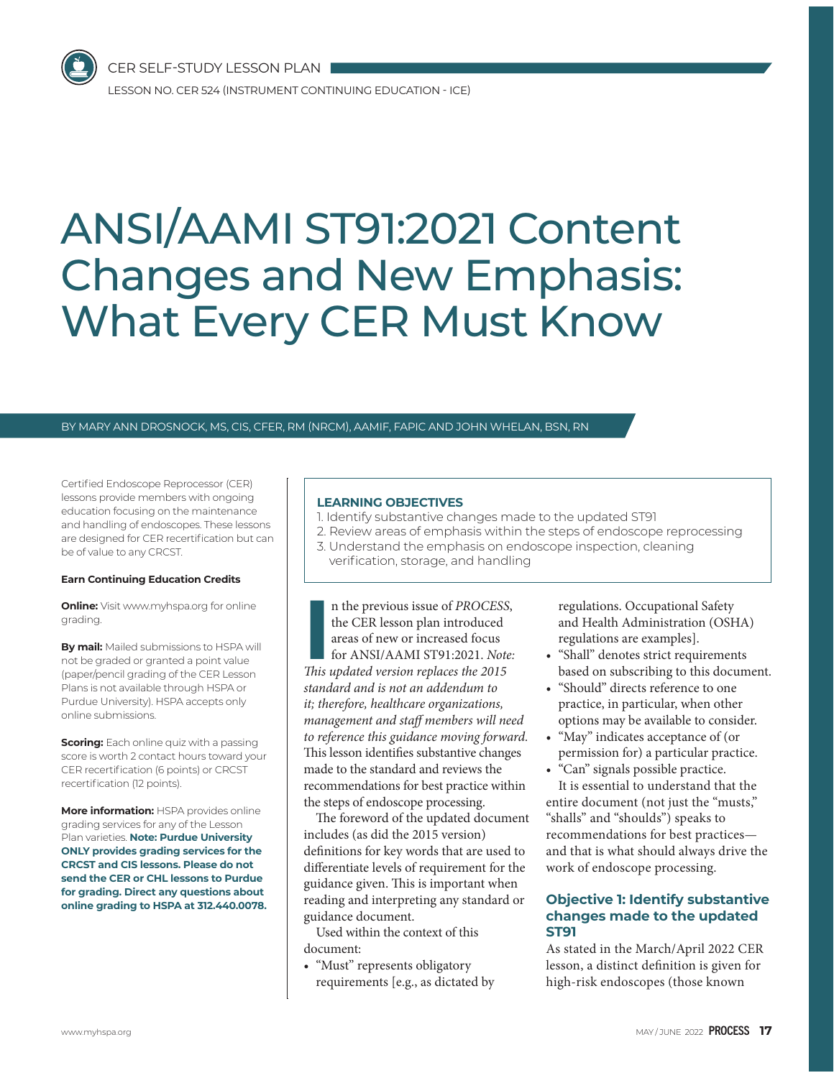CER SELF-STUDY LESSON PLAN LESSON NO. CER 524 (INSTRUMENT CONTINUING EDUCATION - ICE)

# ANSI/AAMI ST91:2021 Content Changes and New Emphasis: What Every CER Must Know

BY MARY ANN DROSNOCK, MS, CIS, CFER, RM (NRCM), AAMIF, FAPIC AND JOHN WHELAN, BSN, RN

Certified Endoscope Reprocessor (CER) lessons provide members with ongoing education focusing on the maintenance and handling of endoscopes. These lessons are designed for CER recertification but can be of value to any CRCST.

#### **Earn Continuing Education Credits**

**Online:** Visit www.myhspa.org for online grading.

**By mail:** Mailed submissions to HSPA will not be graded or granted a point value (paper/pencil grading of the CER Lesson Plans is not available through HSPA or Purdue University). HSPA accepts only online submissions.

**Scoring:** Each online quiz with a passing score is worth 2 contact hours toward your CER recertification (6 points) or CRCST recertification (12 points).

**More information:** HSPA provides online grading services for any of the Lesson Plan varieties. **Note: Purdue University ONLY provides grading services for the CRCST and CIS lessons. Please do not send the CER or CHL lessons to Purdue for grading. Direct any questions about online grading to HSPA at 312.440.0078.**

## **LEARNING OBJECTIVES**

- 1. Identify substantive changes made to the updated ST91
- 2. Review areas of emphasis within the steps of endoscope reprocessing
- 3. Understand the emphasis on endoscope inspection, cleaning verification, storage, and handling

In the previous issue of *PROCESS*<br>
the CER lesson plan introduced<br>
areas of new or increased focus<br>
for ANSI/AAMI ST91:2021. Note<br>
This updated version replaces the 2015 n the previous issue of *PROCESS*, the CER lesson plan introduced areas of new or increased focus for ANSI/AAMI ST91:2021. *Note: standard and is not an addendum to it; therefore, healthcare organizations, management and staff members will need to reference this guidance moving forward.* This lesson identifies substantive changes made to the standard and reviews the recommendations for best practice within the steps of endoscope processing.

The foreword of the updated document includes (as did the 2015 version) definitions for key words that are used to differentiate levels of requirement for the guidance given. This is important when reading and interpreting any standard or guidance document.

Used within the context of this document:

• "Must" represents obligatory requirements [e.g., as dictated by regulations. Occupational Safety and Health Administration (OSHA) regulations are examples].

- "Shall" denotes strict requirements based on subscribing to this document.
- "Should" directs reference to one practice, in particular, when other options may be available to consider.
- "May" indicates acceptance of (or permission for) a particular practice.
- "Can" signals possible practice. It is essential to understand that the

entire document (not just the "musts," "shalls" and "shoulds") speaks to recommendations for best practices and that is what should always drive the work of endoscope processing.

### **Objective 1: Identify substantive changes made to the updated ST91**

As stated in the March/April 2022 CER lesson, a distinct definition is given for high-risk endoscopes (those known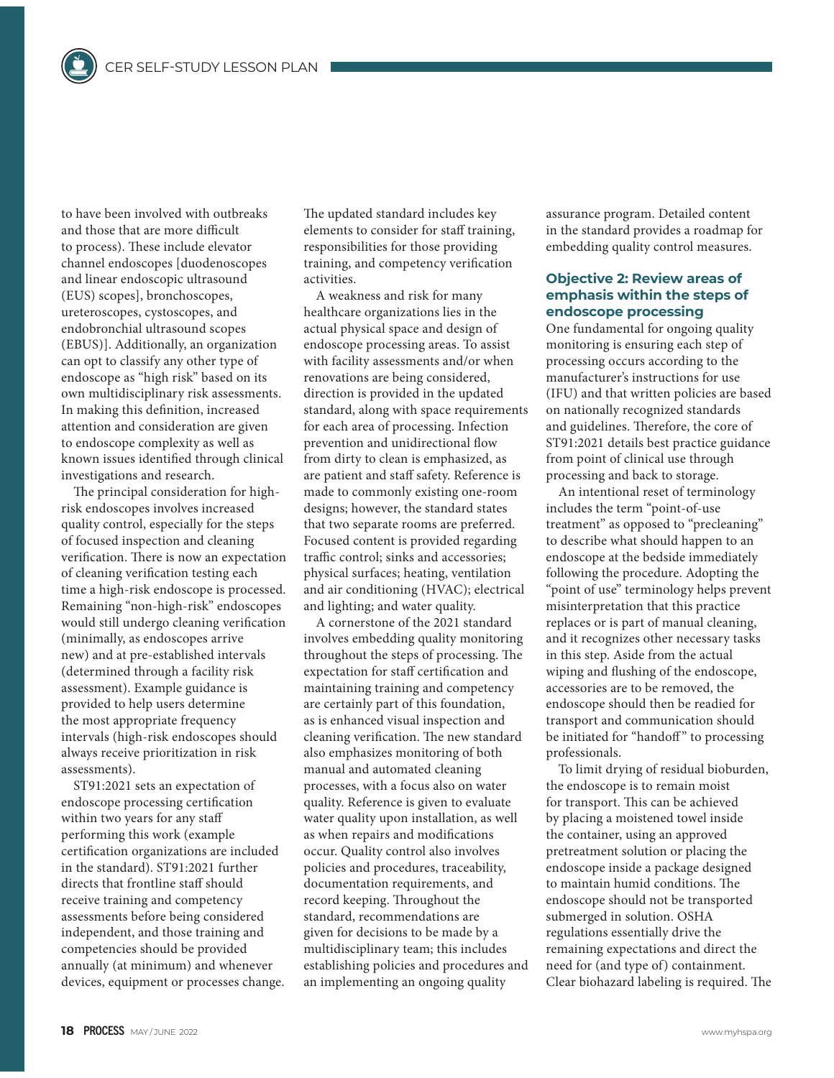to have been involved with outbreaks and those that are more difficult to process). These include elevator channel endoscopes [duodenoscopes and linear endoscopic ultrasound (EUS) scopes], bronchoscopes, ureteroscopes, cystoscopes, and endobronchial ultrasound scopes (EBUS)]. Additionally, an organization can opt to classify any other type of endoscope as "high risk" based on its own multidisciplinary risk assessments. In making this definition, increased attention and consideration are given to endoscope complexity as well as known issues identified through clinical investigations and research.

The principal consideration for highrisk endoscopes involves increased quality control, especially for the steps of focused inspection and cleaning verification. There is now an expectation of cleaning verification testing each time a high-risk endoscope is processed. Remaining "non-high-risk" endoscopes would still undergo cleaning verification (minimally, as endoscopes arrive new) and at pre-established intervals (determined through a facility risk assessment). Example guidance is provided to help users determine the most appropriate frequency intervals (high-risk endoscopes should always receive prioritization in risk assessments).

ST91:2021 sets an expectation of endoscope processing certification within two years for any staff performing this work (example certification organizations are included in the standard). ST91:2021 further directs that frontline staff should receive training and competency assessments before being considered independent, and those training and competencies should be provided annually (at minimum) and whenever devices, equipment or processes change. The updated standard includes key elements to consider for staff training, responsibilities for those providing training, and competency verification activities.

A weakness and risk for many healthcare organizations lies in the actual physical space and design of endoscope processing areas. To assist with facility assessments and/or when renovations are being considered, direction is provided in the updated standard, along with space requirements for each area of processing. Infection prevention and unidirectional flow from dirty to clean is emphasized, as are patient and staff safety. Reference is made to commonly existing one-room designs; however, the standard states that two separate rooms are preferred. Focused content is provided regarding traffic control; sinks and accessories; physical surfaces; heating, ventilation and air conditioning (HVAC); electrical and lighting; and water quality.

A cornerstone of the 2021 standard involves embedding quality monitoring throughout the steps of processing. The expectation for staff certification and maintaining training and competency are certainly part of this foundation, as is enhanced visual inspection and cleaning verification. The new standard also emphasizes monitoring of both manual and automated cleaning processes, with a focus also on water quality. Reference is given to evaluate water quality upon installation, as well as when repairs and modifications occur. Quality control also involves policies and procedures, traceability, documentation requirements, and record keeping. Throughout the standard, recommendations are given for decisions to be made by a multidisciplinary team; this includes establishing policies and procedures and an implementing an ongoing quality

assurance program. Detailed content in the standard provides a roadmap for embedding quality control measures.

# **Objective 2: Review areas of emphasis within the steps of endoscope processing**

One fundamental for ongoing quality monitoring is ensuring each step of processing occurs according to the manufacturer's instructions for use (IFU) and that written policies are based on nationally recognized standards and guidelines. Therefore, the core of ST91:2021 details best practice guidance from point of clinical use through processing and back to storage.

An intentional reset of terminology includes the term "point-of-use treatment" as opposed to "precleaning" to describe what should happen to an endoscope at the bedside immediately following the procedure. Adopting the "point of use" terminology helps prevent misinterpretation that this practice replaces or is part of manual cleaning, and it recognizes other necessary tasks in this step. Aside from the actual wiping and flushing of the endoscope, accessories are to be removed, the endoscope should then be readied for transport and communication should be initiated for "handoff" to processing professionals.

To limit drying of residual bioburden, the endoscope is to remain moist for transport. This can be achieved by placing a moistened towel inside the container, using an approved pretreatment solution or placing the endoscope inside a package designed to maintain humid conditions. The endoscope should not be transported submerged in solution. OSHA regulations essentially drive the remaining expectations and direct the need for (and type of) containment. Clear biohazard labeling is required. The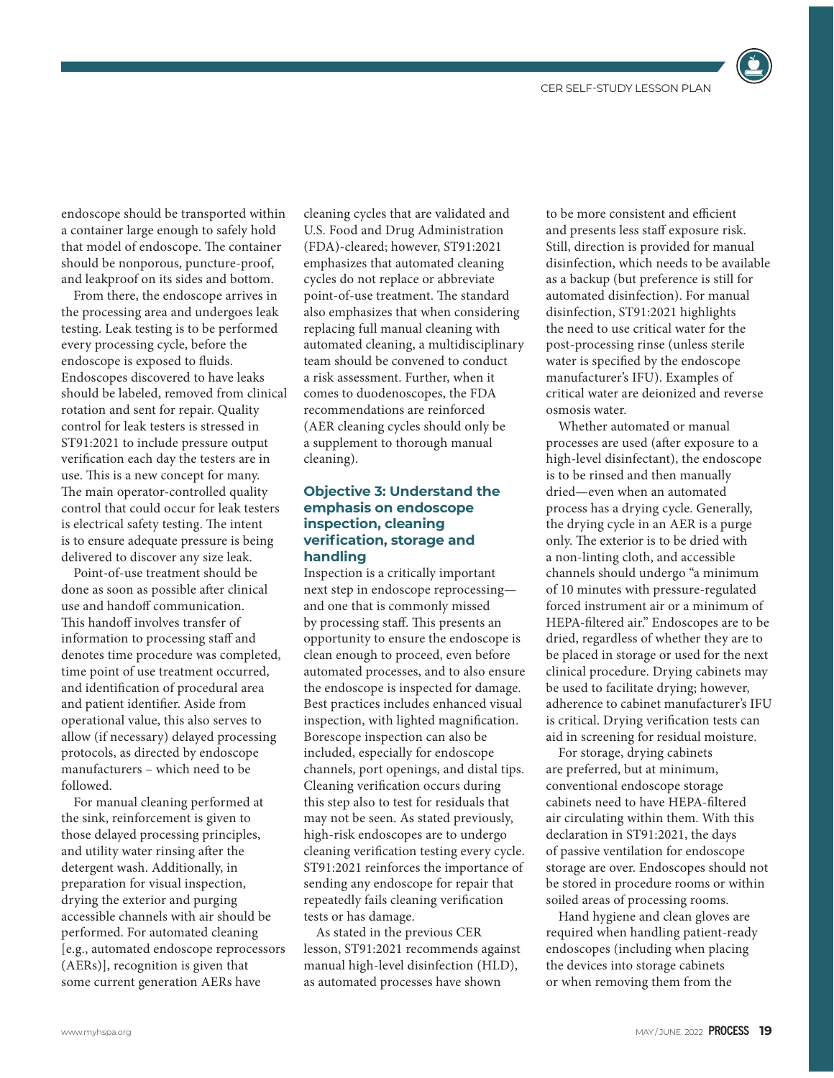endoscope should be transported within a container large enough to safely hold that model of endoscope. The container should be nonporous, puncture-proof, and leakproof on its sides and bottom.

From there, the endoscope arrives in the processing area and undergoes leak testing. Leak testing is to be performed every processing cycle, before the endoscope is exposed to fluids. Endoscopes discovered to have leaks should be labeled, removed from clinical rotation and sent for repair. Quality control for leak testers is stressed in ST91:2021 to include pressure output verification each day the testers are in use. This is a new concept for many. The main operator-controlled quality control that could occur for leak testers is electrical safety testing. The intent is to ensure adequate pressure is being delivered to discover any size leak.

Point-of-use treatment should be done as soon as possible after clinical use and handoff communication. This handoff involves transfer of information to processing staff and denotes time procedure was completed, time point of use treatment occurred, and identification of procedural area and patient identifier. Aside from operational value, this also serves to allow (if necessary) delayed processing protocols, as directed by endoscope manufacturers – which need to be followed.

For manual cleaning performed at the sink, reinforcement is given to those delayed processing principles, and utility water rinsing after the detergent wash. Additionally, in preparation for visual inspection, drying the exterior and purging accessible channels with air should be performed. For automated cleaning [e.g., automated endoscope reprocessors (AERs)], recognition is given that some current generation AERs have

cleaning cycles that are validated and U.S. Food and Drug Administration (FDA)-cleared; however, ST91:2021 emphasizes that automated cleaning cycles do not replace or abbreviate point-of-use treatment. The standard also emphasizes that when considering replacing full manual cleaning with automated cleaning, a multidisciplinary team should be convened to conduct a risk assessment. Further, when it comes to duodenoscopes, the FDA recommendations are reinforced (AER cleaning cycles should only be a supplement to thorough manual cleaning).

# **Objective 3: Understand the emphasis on endoscope inspection, cleaning verification, storage and handling**

Inspection is a critically important next step in endoscope reprocessing and one that is commonly missed by processing staff. This presents an opportunity to ensure the endoscope is clean enough to proceed, even before automated processes, and to also ensure the endoscope is inspected for damage. Best practices includes enhanced visual inspection, with lighted magnification. Borescope inspection can also be included, especially for endoscope channels, port openings, and distal tips. Cleaning verification occurs during this step also to test for residuals that may not be seen. As stated previously, high-risk endoscopes are to undergo cleaning verification testing every cycle. ST91:2021 reinforces the importance of sending any endoscope for repair that repeatedly fails cleaning verification tests or has damage.

As stated in the previous CER lesson, ST91:2021 recommends against manual high-level disinfection (HLD), as automated processes have shown

to be more consistent and efficient and presents less staff exposure risk. Still, direction is provided for manual disinfection, which needs to be available as a backup (but preference is still for automated disinfection). For manual disinfection, ST91:2021 highlights the need to use critical water for the post-processing rinse (unless sterile water is specified by the endoscope manufacturer's IFU). Examples of critical water are deionized and reverse osmosis water.

Whether automated or manual processes are used (after exposure to a high-level disinfectant), the endoscope is to be rinsed and then manually dried—even when an automated process has a drying cycle. Generally, the drying cycle in an AER is a purge only. The exterior is to be dried with a non-linting cloth, and accessible channels should undergo "a minimum of 10 minutes with pressure-regulated forced instrument air or a minimum of HEPA-filtered air." Endoscopes are to be dried, regardless of whether they are to be placed in storage or used for the next clinical procedure. Drying cabinets may be used to facilitate drying; however, adherence to cabinet manufacturer's IFU is critical. Drying verification tests can aid in screening for residual moisture.

For storage, drying cabinets are preferred, but at minimum, conventional endoscope storage cabinets need to have HEPA-filtered air circulating within them. With this declaration in ST91:2021, the days of passive ventilation for endoscope storage are over. Endoscopes should not be stored in procedure rooms or within soiled areas of processing rooms.

Hand hygiene and clean gloves are required when handling patient-ready endoscopes (including when placing the devices into storage cabinets or when removing them from the